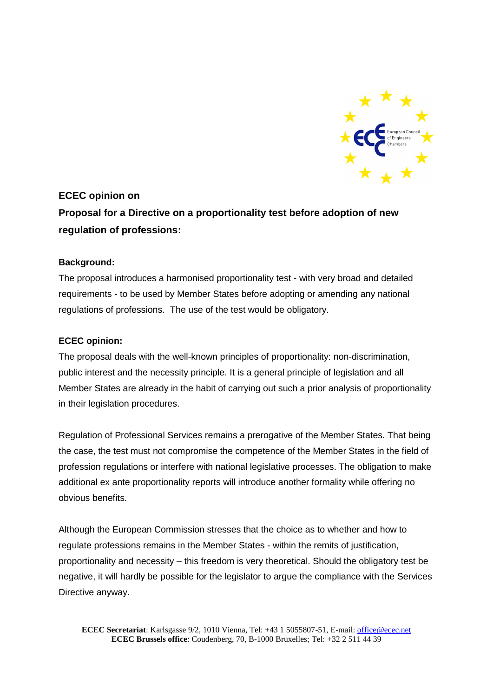

## **ECEC opinion on Proposal for a Directive on a proportionality test before adoption of new regulation of professions:**

## **Background:**

The proposal introduces a harmonised proportionality test - with very broad and detailed requirements - to be used by Member States before adopting or amending any national regulations of professions. The use of the test would be obligatory.

## **ECEC opinion:**

The proposal deals with the well-known principles of proportionality: non-discrimination, public interest and the necessity principle. It is a general principle of legislation and all Member States are already in the habit of carrying out such a prior analysis of proportionality in their legislation procedures.

Regulation of Professional Services remains a prerogative of the Member States. That being the case, the test must not compromise the competence of the Member States in the field of profession regulations or interfere with national legislative processes. The obligation to make additional ex ante proportionality reports will introduce another formality while offering no obvious benefits.

Although the European Commission stresses that the choice as to whether and how to regulate professions remains in the Member States - within the remits of justification, proportionality and necessity – this freedom is very theoretical. Should the obligatory test be negative, it will hardly be possible for the legislator to argue the compliance with the Services Directive anyway.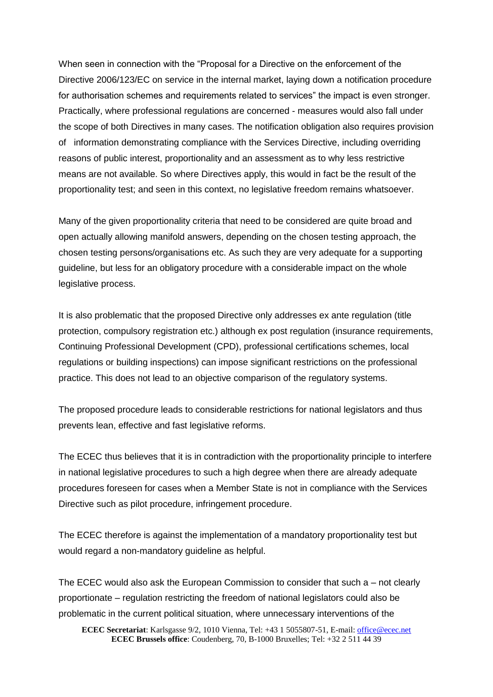When seen in connection with the "Proposal for a Directive on the enforcement of the Directive 2006/123/EC on service in the internal market, laying down a notification procedure for authorisation schemes and requirements related to services" the impact is even stronger. Practically, where professional regulations are concerned - measures would also fall under the scope of both Directives in many cases. The notification obligation also requires provision of information demonstrating compliance with the Services Directive, including overriding reasons of public interest, proportionality and an assessment as to why less restrictive means are not available. So where Directives apply, this would in fact be the result of the proportionality test; and seen in this context, no legislative freedom remains whatsoever.

Many of the given proportionality criteria that need to be considered are quite broad and open actually allowing manifold answers, depending on the chosen testing approach, the chosen testing persons/organisations etc. As such they are very adequate for a supporting guideline, but less for an obligatory procedure with a considerable impact on the whole legislative process.

It is also problematic that the proposed Directive only addresses ex ante regulation (title protection, compulsory registration etc.) although ex post regulation (insurance requirements, Continuing Professional Development (CPD), professional certifications schemes, local regulations or building inspections) can impose significant restrictions on the professional practice. This does not lead to an objective comparison of the regulatory systems.

The proposed procedure leads to considerable restrictions for national legislators and thus prevents lean, effective and fast legislative reforms.

The ECEC thus believes that it is in contradiction with the proportionality principle to interfere in national legislative procedures to such a high degree when there are already adequate procedures foreseen for cases when a Member State is not in compliance with the Services Directive such as pilot procedure, infringement procedure.

The ECEC therefore is against the implementation of a mandatory proportionality test but would regard a non-mandatory guideline as helpful.

The ECEC would also ask the European Commission to consider that such a – not clearly proportionate – regulation restricting the freedom of national legislators could also be problematic in the current political situation, where unnecessary interventions of the